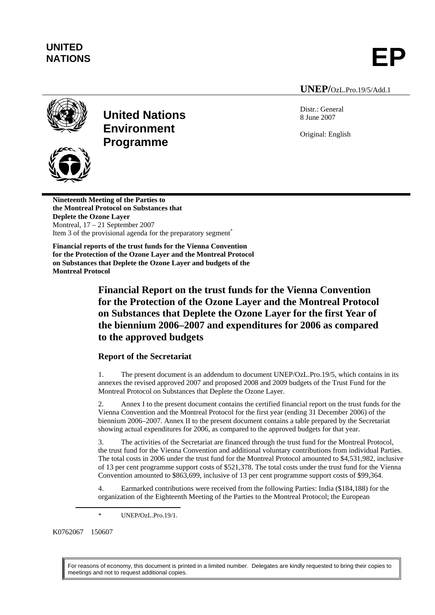# **UNITED**

NATIONS **EP** 

#### **UNEP/**OzL.Pro.19/5/Add.1

Distr.: General 8 June 2007

Original: English



## **United Nations Environment Programme**



**Nineteenth Meeting of the Parties to the Montreal Protocol on Substances that Deplete the Ozone Layer**  Montreal, 17 – 21 September 2007 Item 3 of the provisional agenda for the preparatory segment<sup>\*</sup>

**Financial reports of the trust funds for the Vienna Convention for the Protection of the Ozone Layer and the Montreal Protocol on Substances that Deplete the Ozone Layer and budgets of the Montreal Protocol** 

> **Financial Report on the trust funds for the Vienna Convention for the Protection of the Ozone Layer and the Montreal Protocol on Substances that Deplete the Ozone Layer for the first Year of the biennium 2006–2007 and expenditures for 2006 as compared to the approved budgets**

## **Report of the Secretariat**

1. The present document is an addendum to document UNEP/OzL.Pro.19/5, which contains in its annexes the revised approved 2007 and proposed 2008 and 2009 budgets of the Trust Fund for the Montreal Protocol on Substances that Deplete the Ozone Layer.

2. Annex I to the present document contains the certified financial report on the trust funds for the Vienna Convention and the Montreal Protocol for the first year (ending 31 December 2006) of the biennium 2006–2007. Annex II to the present document contains a table prepared by the Secretariat showing actual expenditures for 2006, as compared to the approved budgets for that year.

3. The activities of the Secretariat are financed through the trust fund for the Montreal Protocol, the trust fund for the Vienna Convention and additional voluntary contributions from individual Parties. The total costs in 2006 under the trust fund for the Montreal Protocol amounted to \$4,531,982, inclusive of 13 per cent programme support costs of \$521,378. The total costs under the trust fund for the Vienna Convention amounted to \$863,699, inclusive of 13 per cent programme support costs of \$99,364.

4. Earmarked contributions were received from the following Parties: India (\$184,188) for the organization of the Eighteenth Meeting of the Parties to the Montreal Protocol; the European

K0762067 150607

For reasons of economy, this document is printed in a limited number. Delegates are kindly requested to bring their copies to meetings and not to request additional copies.

 <sup>\*</sup> UNEP**/**OzL.Pro.19/1.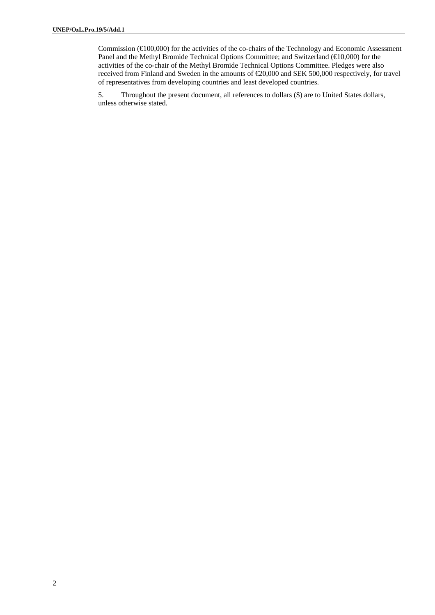Commission ( $\in$ 100,000) for the activities of the co-chairs of the Technology and Economic Assessment Panel and the Methyl Bromide Technical Options Committee; and Switzerland ( $\bigoplus$ 0,000) for the activities of the co-chair of the Methyl Bromide Technical Options Committee. Pledges were also received from Finland and Sweden in the amounts of €20,000 and SEK 500,000 respectively, for travel of representatives from developing countries and least developed countries.

5. Throughout the present document, all references to dollars (\$) are to United States dollars, unless otherwise stated.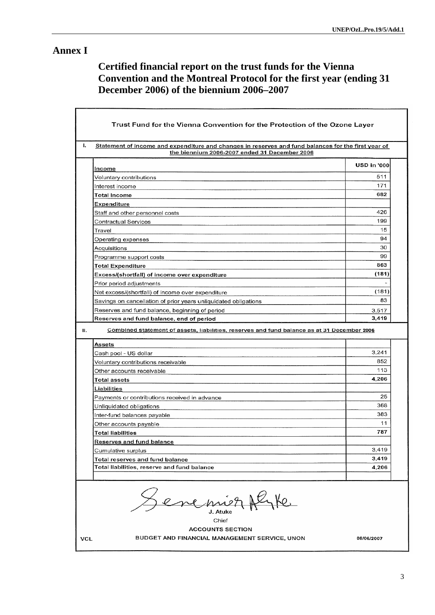## **Annex I**

## **Certified financial report on the trust funds for the Vienna Convention and the Montreal Protocol for the first year (ending 31 December 2006) of the biennium 2006–2007**

| Statement of income and expenditure and changes in reserves and fund balances for the first year of<br>the biennium 2006-2007 ended 31 December 2006 |                    |
|------------------------------------------------------------------------------------------------------------------------------------------------------|--------------------|
|                                                                                                                                                      | <b>USD in '000</b> |
| <b>Income</b>                                                                                                                                        | 511                |
| Voluntary contributions                                                                                                                              | 171                |
| Interest income                                                                                                                                      | 682                |
| <b>Total Income</b>                                                                                                                                  |                    |
| <b>Expenditure</b>                                                                                                                                   | 426                |
| Staff and other personnel costs                                                                                                                      |                    |
| <b>Contractual Services</b>                                                                                                                          | 199                |
| Travel                                                                                                                                               | 15                 |
| Operating expenses                                                                                                                                   | 94                 |
| Acquisitions                                                                                                                                         | 30                 |
| Programme support costs                                                                                                                              | 99                 |
| <b>Total Expenditure</b>                                                                                                                             | 863                |
| Excess/(shortfall) of income over expenditure                                                                                                        | (181)              |
| Prior period adjustments                                                                                                                             |                    |
| Net excess/(shortfall) of income over expenditure                                                                                                    | (181)              |
| Savings on cancellation of prior years unliquidated obligations                                                                                      | 83                 |
| Reserves and fund balance, beginning of period                                                                                                       | 3,517              |
| Reserves and fund balance, end of period<br>Combined statement of assets, liabilities, reserves and fund balance as at 31 December 2006              | 3,419              |
| Assets                                                                                                                                               |                    |
| Cash pool - US dollar                                                                                                                                | 3,241              |
| Voluntary contributions receivable                                                                                                                   | 852                |
| Other accounts receivable                                                                                                                            | 113                |
| Total assets                                                                                                                                         | 4,206              |
| Liabilities                                                                                                                                          |                    |
| Payments or contributions received in advance                                                                                                        | 25                 |
| Unliquidated obligations                                                                                                                             | 368                |
| Inter-fund balances pavable                                                                                                                          | 383                |
| Other accounts payable                                                                                                                               | 11                 |
| <b>Total liabilities</b>                                                                                                                             | 787                |
| <b>Reserves and fund balance</b>                                                                                                                     |                    |
| Cumulative surplus                                                                                                                                   | 3,419              |
| <b>Total reserves and fund balance</b>                                                                                                               | 3,419              |
| Total liabilities, reserve and fund balance                                                                                                          | 4,206              |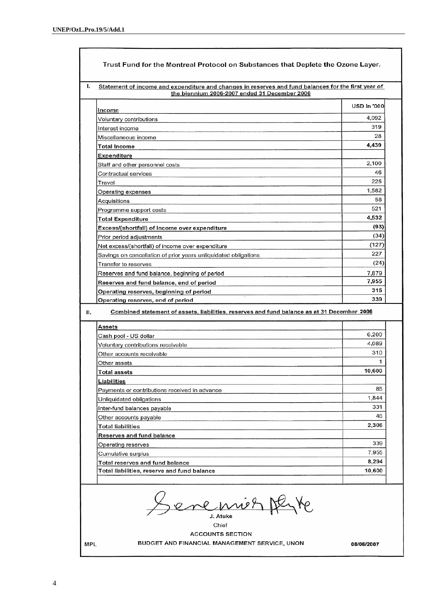| Statement of income and expenditure and changes in reserves and fund balances for the first year of<br>the biennium 2006-2007 ended 31 December 2006 |             |
|------------------------------------------------------------------------------------------------------------------------------------------------------|-------------|
| Income                                                                                                                                               | USD in '000 |
| Voluntary contributions                                                                                                                              | 4,092       |
| Interest income                                                                                                                                      | 319         |
| Miscellaneous income                                                                                                                                 | 28          |
| <b>Total Income</b>                                                                                                                                  | 4,439       |
| Expenditure                                                                                                                                          |             |
| Staff and other personnel costs                                                                                                                      | 2,100       |
| Contractual services                                                                                                                                 | 46          |
| Travel                                                                                                                                               | 225         |
| Operating expenses                                                                                                                                   | 1,582       |
| Acquisitions                                                                                                                                         | 58          |
| Programme support costs                                                                                                                              | 521         |
| Total Expenditure                                                                                                                                    | 4,532       |
| Excess/(shortfall) of income over expenditure                                                                                                        | (93)        |
| Prior period adjustments                                                                                                                             | (34)        |
| Net excess/(shortfall) of income over expenditure                                                                                                    | (127)       |
| Savings on cancellation of prior years unliquidated obligations                                                                                      | 227         |
| Transfer to reserves                                                                                                                                 | (24)        |
| Reserves and fund balance, beginning of period                                                                                                       | 7,879       |
| Reserves and fund balance, end of period                                                                                                             | 7,955       |
| Operating reserves, beginning of period                                                                                                              | 315         |
| Operating reserves, end of period                                                                                                                    | 339         |
| Combined statement of assets, liabilities, reserves and fund balance as at 31 December 2006                                                          |             |
| Assets                                                                                                                                               |             |
| Cash pool - US dollar                                                                                                                                | 6,200       |
| Voluntary contributions receivable                                                                                                                   | 4,089       |
| Other accounts receivable                                                                                                                            | 310         |
| Other assets                                                                                                                                         |             |
| Total assets                                                                                                                                         | 10,600      |
| Liabilities                                                                                                                                          |             |
| Payments or contributions received in advance                                                                                                        | 85          |
| Unliquidated obligations                                                                                                                             | 1,844       |
| Inter-fund balances payable                                                                                                                          | 331         |
| Other accounts payable                                                                                                                               | 46          |
| Total liabilities                                                                                                                                    | 2.306       |
| Reserves and fund balance                                                                                                                            |             |
| Operating reserves                                                                                                                                   | 339         |
| Cumulative surplus                                                                                                                                   | 7,955       |
| Total reserves and fund balance                                                                                                                      | 8,294       |
| Total liabilities, reserve and fund balance                                                                                                          | 10,600      |

J. Atuke Chief

### **ACCOUNTS SECTION**

BUDGET AND FINANCIAL MANAGEMENT SERVICE, UNON

08/06/2007

**MPL**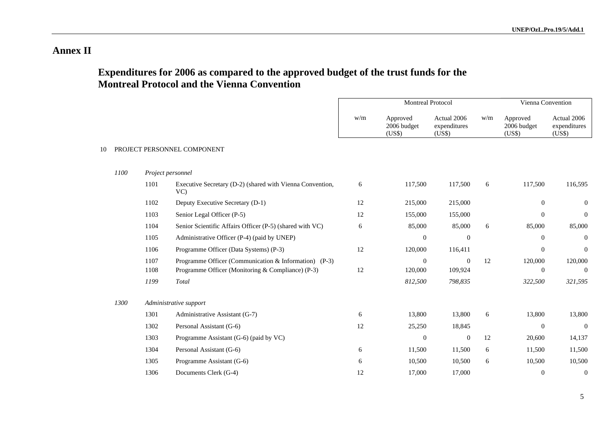### **Annex II**

## **Expenditures for 2006 as compared to the approved budget of the trust funds for the Montreal Protocol and the Vienna Convention**

|    |      |                             |                                                                                                            | <b>Montreal Protocol</b> |                                   |                                       | Vienna Convention |                                   |                                       |
|----|------|-----------------------------|------------------------------------------------------------------------------------------------------------|--------------------------|-----------------------------------|---------------------------------------|-------------------|-----------------------------------|---------------------------------------|
|    |      |                             |                                                                                                            | w/m                      | Approved<br>2006 budget<br>(US\$) | Actual 2006<br>expenditures<br>(US\$) | w/m               | Approved<br>2006 budget<br>(US\$) | Actual 2006<br>expenditures<br>(US\$) |
| 10 |      | PROJECT PERSONNEL COMPONENT |                                                                                                            |                          |                                   |                                       |                   |                                   |                                       |
|    | 1100 |                             | Project personnel                                                                                          |                          |                                   |                                       |                   |                                   |                                       |
|    |      | 1101                        | Executive Secretary (D-2) (shared with Vienna Convention,<br>VC                                            | 6                        | 117,500                           | 117,500                               | 6                 | 117,500                           | 116,595                               |
|    |      | 1102                        | Deputy Executive Secretary (D-1)                                                                           | 12                       | 215,000                           | 215,000                               |                   | $\mathbf{0}$                      | $\mathbf{0}$                          |
|    |      | 1103                        | Senior Legal Officer (P-5)                                                                                 | 12                       | 155,000                           | 155,000                               |                   | $\mathbf{0}$                      | $\mathbf{0}$                          |
|    |      | 1104                        | Senior Scientific Affairs Officer (P-5) (shared with VC)                                                   | 6                        | 85,000                            | 85,000                                | 6                 | 85,000                            | 85,000                                |
|    |      | 1105                        | Administrative Officer (P-4) (paid by UNEP)                                                                |                          | $\mathbf{0}$                      | $\boldsymbol{0}$                      |                   | $\overline{0}$                    | $\theta$                              |
|    |      | 1106                        | Programme Officer (Data Systems) (P-3)                                                                     | 12                       | 120,000                           | 116,411                               |                   | $\overline{0}$                    | $\mathbf{0}$                          |
|    |      | 1107<br>1108                | Programme Officer (Communication & Information) (P-3)<br>Programme Officer (Monitoring & Compliance) (P-3) | 12                       | $\mathbf{0}$<br>120,000           | $\Omega$<br>109,924                   | 12                | 120,000<br>$\mathbf{0}$           | 120,000<br>$\mathbf{0}$               |
|    |      | 1199                        | Total                                                                                                      |                          | 812,500                           | 798,835                               |                   | 322,500                           | 321,595                               |
|    | 1300 |                             | Administrative support                                                                                     |                          |                                   |                                       |                   |                                   |                                       |
|    |      | 1301                        | Administrative Assistant (G-7)                                                                             | 6                        | 13,800                            | 13,800                                | 6                 | 13,800                            | 13,800                                |
|    |      | 1302                        | Personal Assistant (G-6)                                                                                   | 12                       | 25,250                            | 18,845                                |                   | $\mathbf{0}$                      | $\Omega$                              |
|    |      | 1303                        | Programme Assistant (G-6) (paid by VC)                                                                     |                          | $\mathbf{0}$                      | $\boldsymbol{0}$                      | 12                | 20,600                            | 14,137                                |
|    |      | 1304                        | Personal Assistant (G-6)                                                                                   | 6                        | 11,500                            | 11,500                                | 6                 | 11,500                            | 11,500                                |
|    |      | 1305                        | Programme Assistant (G-6)                                                                                  | 6                        | 10,500                            | 10,500                                | 6                 | 10,500                            | 10,500                                |
|    |      | 1306                        | Documents Clerk (G-4)                                                                                      | 12                       | 17,000                            | 17,000                                |                   | $\mathbf{0}$                      | $\mathbf{0}$                          |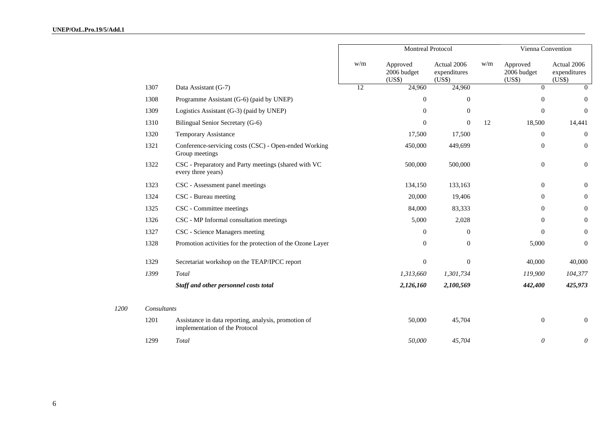|      |             |                                                                                        | Montreal Protocol |                                   |                                       |     | Vienna Convention                 |                                       |  |
|------|-------------|----------------------------------------------------------------------------------------|-------------------|-----------------------------------|---------------------------------------|-----|-----------------------------------|---------------------------------------|--|
|      |             |                                                                                        | w/m               | Approved<br>2006 budget<br>(US\$) | Actual 2006<br>expenditures<br>(US\$) | w/m | Approved<br>2006 budget<br>(US\$) | Actual 2006<br>expenditures<br>(US\$) |  |
|      | 1307        | Data Assistant (G-7)                                                                   | 12                | 24,960                            | 24,960                                |     | $\Omega$                          | $\Omega$                              |  |
|      | 1308        | Programme Assistant (G-6) (paid by UNEP)                                               |                   | $\mathbf{0}$                      | $\overline{0}$                        |     | $\mathbf{0}$                      | $\Omega$                              |  |
|      | 1309        | Logistics Assistant (G-3) (paid by UNEP)                                               |                   | $\mathbf{0}$                      | $\overline{0}$                        |     | $\mathbf{0}$                      | $\overline{0}$                        |  |
|      | 1310        | Bilingual Senior Secretary (G-6)                                                       |                   | $\overline{0}$                    | $\overline{0}$                        | 12  | 18,500                            | 14,441                                |  |
|      | 1320        | Temporary Assistance                                                                   |                   | 17,500                            | 17,500                                |     | $\mathbf{0}$                      | $\overline{0}$                        |  |
|      | 1321        | Conference-servicing costs (CSC) - Open-ended Working<br>Group meetings                |                   | 450,000                           | 449,699                               |     | $\mathbf{0}$                      | $\overline{0}$                        |  |
|      | 1322        | CSC - Preparatory and Party meetings (shared with VC<br>every three years)             |                   | 500,000                           | 500,000                               |     | $\boldsymbol{0}$                  | $\boldsymbol{0}$                      |  |
|      | 1323        | CSC - Assessment panel meetings                                                        |                   | 134,150                           | 133,163                               |     | $\mathbf{0}$                      | $\overline{0}$                        |  |
|      | 1324        | CSC - Bureau meeting                                                                   |                   | 20,000                            | 19,406                                |     | $\mathbf{0}$                      | $\mathbf{0}$                          |  |
|      | 1325        | CSC - Committee meetings                                                               |                   | 84,000                            | 83,333                                |     | $\mathbf{0}$                      | $\overline{0}$                        |  |
|      | 1326        | CSC - MP Informal consultation meetings                                                |                   | 5,000                             | 2,028                                 |     | $\overline{0}$                    | $\overline{0}$                        |  |
|      | 1327        | CSC - Science Managers meeting                                                         |                   | $\mathbf{0}$                      | $\theta$                              |     | $\mathbf{0}$                      | $\mathbf{0}$                          |  |
|      | 1328        | Promotion activities for the protection of the Ozone Layer                             |                   | $\overline{0}$                    | $\overline{0}$                        |     | 5,000                             | $\mathbf{0}$                          |  |
|      | 1329        | Secretariat workshop on the TEAP/IPCC report                                           |                   | $\mathbf{0}$                      | $\mathbf{0}$                          |     | 40,000                            | 40,000                                |  |
|      | 1399        | Total                                                                                  |                   | 1,313,660                         | 1,301,734                             |     | 119,900                           | 104,377                               |  |
|      |             | Staff and other personnel costs total                                                  |                   | 2,126,160                         | 2,100,569                             |     | 442,400                           | 425,973                               |  |
| 1200 | Consultants |                                                                                        |                   |                                   |                                       |     |                                   |                                       |  |
|      | 1201        | Assistance in data reporting, analysis, promotion of<br>implementation of the Protocol |                   | 50,000                            | 45,704                                |     | $\mathbf{0}$                      | $\overline{0}$                        |  |
|      | 1299        | Total                                                                                  |                   | 50,000                            | 45,704                                |     | $\boldsymbol{\theta}$             | $\theta$                              |  |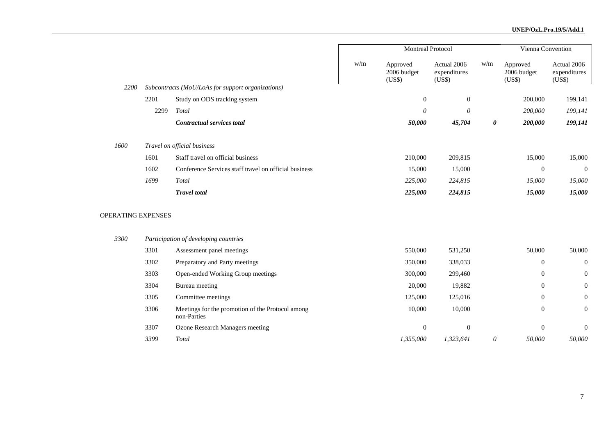|                    |      |                                                                 |     | Montreal Protocol                 | Vienna Convention                     |          |                                   |                                       |
|--------------------|------|-----------------------------------------------------------------|-----|-----------------------------------|---------------------------------------|----------|-----------------------------------|---------------------------------------|
|                    |      |                                                                 | w/m | Approved<br>2006 budget<br>(US\$) | Actual 2006<br>expenditures<br>(US\$) | w/m      | Approved<br>2006 budget<br>(US\$) | Actual 2006<br>expenditures<br>(US\$) |
| 2200               |      | Subcontracts (MoU/LoAs for support organizations)               |     |                                   |                                       |          |                                   |                                       |
|                    | 2201 | Study on ODS tracking system                                    |     | $\boldsymbol{0}$                  | $\boldsymbol{0}$                      |          | 200,000                           | 199,141                               |
|                    | 2299 | Total                                                           |     | $\theta$                          | $\theta$                              |          | 200,000                           | 199,141                               |
|                    |      | Contractual services total                                      |     | 50,000                            | 45,704                                | 0        | 200,000                           | 199,141                               |
| 1600               |      | Travel on official business                                     |     |                                   |                                       |          |                                   |                                       |
|                    | 1601 | Staff travel on official business                               |     | 210,000                           | 209,815                               |          | 15,000                            | 15,000                                |
|                    | 1602 | Conference Services staff travel on official business           |     | 15,000                            | 15,000                                |          | $\mathbf{0}$                      | $\Omega$                              |
|                    | 1699 | Total                                                           |     | 225,000                           | 224,815                               |          | 15,000                            | 15,000                                |
|                    |      | <b>Travel</b> total                                             |     | 225,000                           | 224,815                               |          | 15,000                            | 15,000                                |
| OPERATING EXPENSES |      |                                                                 |     |                                   |                                       |          |                                   |                                       |
| 3300               |      | Participation of developing countries                           |     |                                   |                                       |          |                                   |                                       |
|                    | 3301 | Assessment panel meetings                                       |     | 550,000                           | 531,250                               |          | 50,000                            | 50,000                                |
|                    | 3302 | Preparatory and Party meetings                                  |     | 350,000                           | 338,033                               |          | $\mathbf{0}$                      | $\overline{0}$                        |
|                    | 3303 | Open-ended Working Group meetings                               |     | 300,000                           | 299,460                               |          | $\mathbf{0}$                      | $\mathbf{0}$                          |
|                    | 3304 | Bureau meeting                                                  |     | 20,000                            | 19,882                                |          | $\overline{0}$                    | $\boldsymbol{0}$                      |
|                    | 3305 | Committee meetings                                              |     | 125,000                           | 125,016                               |          | $\boldsymbol{0}$                  | $\mathbf{0}$                          |
|                    | 3306 | Meetings for the promotion of the Protocol among<br>non-Parties |     | 10,000                            | 10,000                                |          | $\mathbf{0}$                      | $\mathbf{0}$                          |
|                    | 3307 | <b>Ozone Research Managers meeting</b>                          |     | $\mathbf{0}$                      | $\boldsymbol{0}$                      |          | $\theta$                          | $\mathbf{0}$                          |
|                    | 3399 | Total                                                           |     | 1,355,000                         | 1,323,641                             | $\theta$ | 50,000                            | 50,000                                |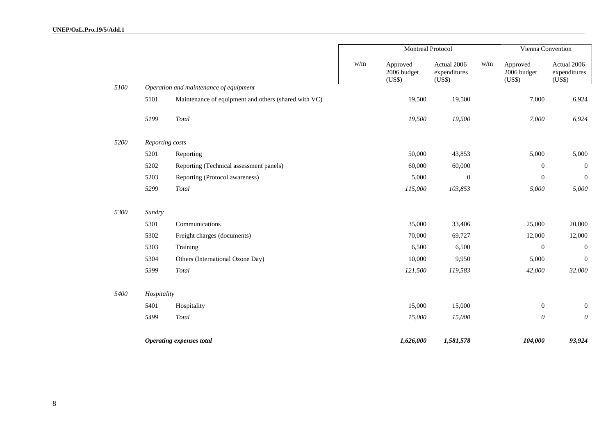#### **UNEP/OzL.Pro.19/5/Add.1**

|      |                 |                                                      | Montreal Protocol |                                   |                                       |     | Vienna Convention                 |                                       |  |
|------|-----------------|------------------------------------------------------|-------------------|-----------------------------------|---------------------------------------|-----|-----------------------------------|---------------------------------------|--|
|      |                 |                                                      | w/m               | Approved<br>2006 budget<br>(US\$) | Actual 2006<br>expenditures<br>(US\$) | w/m | Approved<br>2006 budget<br>(US\$) | Actual 2006<br>expenditures<br>(US\$) |  |
| 5100 |                 | Operation and maintenance of equipment               |                   |                                   |                                       |     |                                   |                                       |  |
|      | 5101            | Maintenance of equipment and others (shared with VC) |                   | 19,500                            | 19,500                                |     | 7,000                             | 6,924                                 |  |
|      | 5199            | Total                                                |                   | 19,500                            | 19,500                                |     | 7,000                             | 6,924                                 |  |
| 5200 | Reporting costs |                                                      |                   |                                   |                                       |     |                                   |                                       |  |
|      | 5201            | Reporting                                            |                   | 50,000                            | 43,853                                |     | 5,000                             | 5,000                                 |  |
|      | 5202            | Reporting (Technical assessment panels)              |                   | 60,000                            | 60,000                                |     | $\boldsymbol{0}$                  | $\mathbf{0}$                          |  |
|      | 5203            | Reporting (Protocol awareness)                       |                   | 5,000                             | $\overline{0}$                        |     | $\boldsymbol{0}$                  | $\overline{0}$                        |  |
|      | 5299            | Total                                                |                   | 115,000                           | 103,853                               |     | 5,000                             | 5,000                                 |  |
| 5300 | Sundry          |                                                      |                   |                                   |                                       |     |                                   |                                       |  |
|      | 5301            | Communications                                       |                   | 35,000                            | 33,406                                |     | 25,000                            | 20,000                                |  |
|      | 5302            | Freight charges (documents)                          |                   | 70,000                            | 69,727                                |     | 12,000                            | 12,000                                |  |
|      | 5303            | Training                                             |                   | 6,500                             | 6,500                                 |     | $\boldsymbol{0}$                  | $\overline{0}$                        |  |
|      | 5304            | Others (International Ozone Day)                     |                   | 10,000                            | 9,950                                 |     | 5,000                             | $\theta$                              |  |
|      | 5399            | Total                                                |                   | 121,500                           | 119,583                               |     | 42,000                            | 32,000                                |  |
| 5400 | Hospitality     |                                                      |                   |                                   |                                       |     |                                   |                                       |  |
|      | 5401            | Hospitality                                          |                   | 15,000                            | 15,000                                |     | $\boldsymbol{0}$                  | $\mathbf{0}$                          |  |
|      | 5499            | Total                                                |                   | 15,000                            | 15,000                                |     | $\boldsymbol{\mathit{0}}$         | $\theta$                              |  |
|      |                 | <b>Operating expenses total</b>                      |                   | 1,626,000                         | 1,581,578                             |     | 104,000                           | 93,924                                |  |